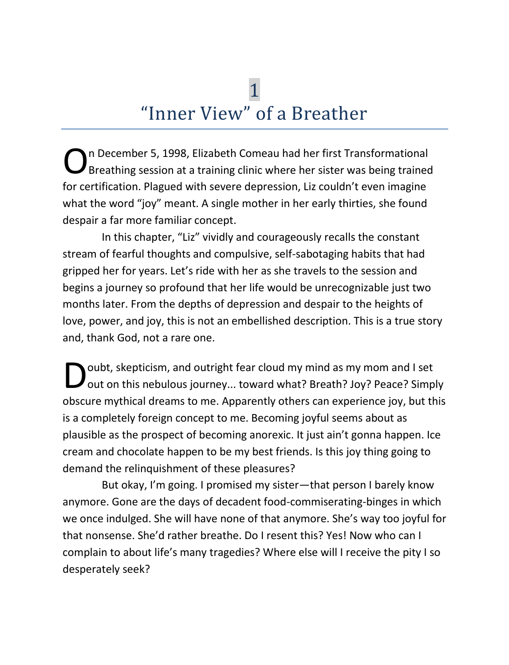# 1 "Inner View" of a Breather

n December 5, 1998, Elizabeth Comeau had her first Transformational Breathing session at a training clinic where her sister was being trained for certification. Plagued with severe depression, Liz couldn't even imagine what the word "joy" meant. A single mother in her early thirties, she found despair a far more familiar concept. O

In this chapter, "Liz" vividly and courageously recalls the constant stream of fearful thoughts and compulsive, self-sabotaging habits that had gripped her for years. Let's ride with her as she travels to the session and begins a journey so profound that her life would be unrecognizable just two months later. From the depths of depression and despair to the heights of love, power, and joy, this is not an embellished description. This is a true story and, thank God, not a rare one.

oubt, skepticism, and outright fear cloud my mind as my mom and I set out on this nebulous journey... toward what? Breath? Joy? Peace? Simply obscure mythical dreams to me. Apparently others can experience joy, but this is a completely foreign concept to me. Becoming joyful seems about as plausible as the prospect of becoming anorexic. It just ain't gonna happen. Ice cream and chocolate happen to be my best friends. Is this joy thing going to demand the relinquishment of these pleasures? D

But okay, I'm going. I promised my sister—that person I barely know anymore. Gone are the days of decadent food-commiserating-binges in which we once indulged. She will have none of that anymore. She's way too joyful for that nonsense. She'd rather breathe. Do I resent this? Yes! Now who can I complain to about life's many tragedies? Where else will I receive the pity I so desperately seek?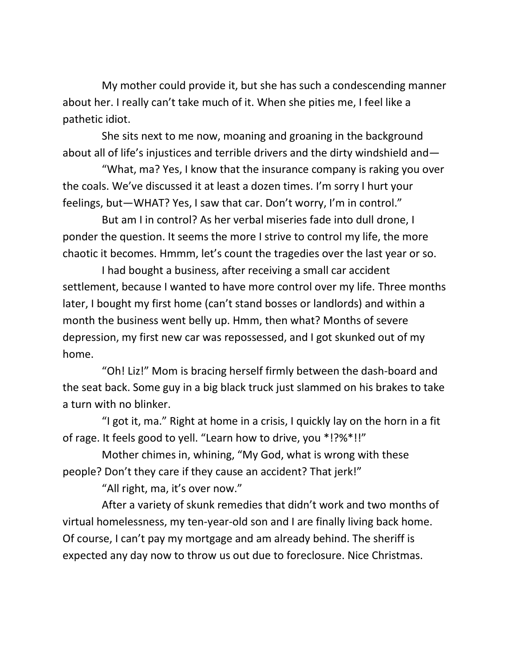My mother could provide it, but she has such a condescending manner about her. I really can't take much of it. When she pities me, I feel like a pathetic idiot.

She sits next to me now, moaning and groaning in the background about all of life's injustices and terrible drivers and the dirty windshield and—

"What, ma? Yes, I know that the insurance company is raking you over the coals. We've discussed it at least a dozen times. I'm sorry I hurt your feelings, but—WHAT? Yes, I saw that car. Don't worry, I'm in control."

But am I in control? As her verbal miseries fade into dull drone, I ponder the question. It seems the more I strive to control my life, the more chaotic it becomes. Hmmm, let's count the tragedies over the last year or so.

I had bought a business, after receiving a small car accident settlement, because I wanted to have more control over my life. Three months later, I bought my first home (can't stand bosses or landlords) and within a month the business went belly up. Hmm, then what? Months of severe depression, my first new car was repossessed, and I got skunked out of my home.

"Oh! Liz!" Mom is bracing herself firmly between the dash-board and the seat back. Some guy in a big black truck just slammed on his brakes to take a turn with no blinker.

"I got it, ma." Right at home in a crisis, I quickly lay on the horn in a fit of rage. It feels good to yell. "Learn how to drive, you \*!?%\*!!"

Mother chimes in, whining, "My God, what is wrong with these people? Don't they care if they cause an accident? That jerk!"

"All right, ma, it's over now."

After a variety of skunk remedies that didn't work and two months of virtual homelessness, my ten-year-old son and I are finally living back home. Of course, I can't pay my mortgage and am already behind. The sheriff is expected any day now to throw us out due to foreclosure. Nice Christmas.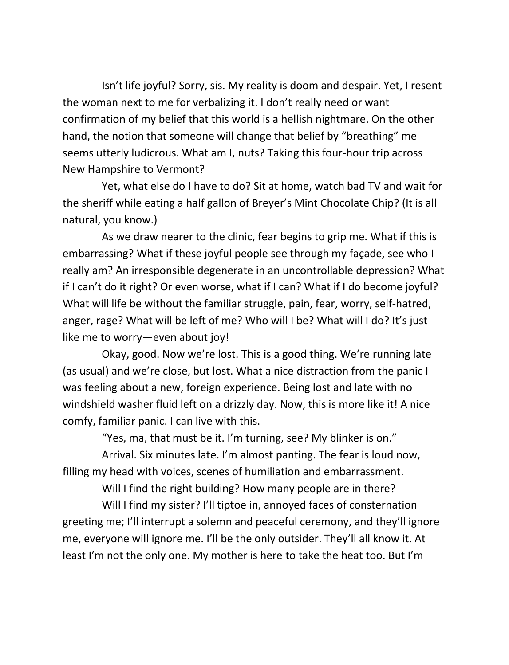Isn't life joyful? Sorry, sis. My reality is doom and despair. Yet, I resent the woman next to me for verbalizing it. I don't really need or want confirmation of my belief that this world is a hellish nightmare. On the other hand, the notion that someone will change that belief by "breathing" me seems utterly ludicrous. What am I, nuts? Taking this four-hour trip across New Hampshire to Vermont?

Yet, what else do I have to do? Sit at home, watch bad TV and wait for the sheriff while eating a half gallon of Breyer's Mint Chocolate Chip? (It is all natural, you know.)

As we draw nearer to the clinic, fear begins to grip me. What if this is embarrassing? What if these joyful people see through my façade, see who I really am? An irresponsible degenerate in an uncontrollable depression? What if I can't do it right? Or even worse, what if I can? What if I do become joyful? What will life be without the familiar struggle, pain, fear, worry, self-hatred, anger, rage? What will be left of me? Who will I be? What will I do? It's just like me to worry—even about joy!

Okay, good. Now we're lost. This is a good thing. We're running late (as usual) and we're close, but lost. What a nice distraction from the panic I was feeling about a new, foreign experience. Being lost and late with no windshield washer fluid left on a drizzly day. Now, this is more like it! A nice comfy, familiar panic. I can live with this.

"Yes, ma, that must be it. I'm turning, see? My blinker is on."

Arrival. Six minutes late. I'm almost panting. The fear is loud now, filling my head with voices, scenes of humiliation and embarrassment.

Will I find the right building? How many people are in there?

Will I find my sister? I'll tiptoe in, annoyed faces of consternation greeting me; I'll interrupt a solemn and peaceful ceremony, and they'll ignore me, everyone will ignore me. I'll be the only outsider. They'll all know it. At least I'm not the only one. My mother is here to take the heat too. But I'm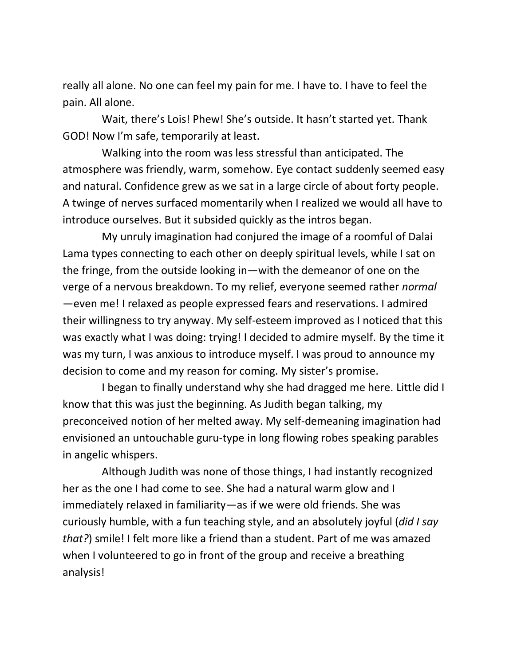really all alone. No one can feel my pain for me. I have to. I have to feel the pain. All alone.

Wait, there's Lois! Phew! She's outside. It hasn't started yet. Thank GOD! Now I'm safe, temporarily at least.

Walking into the room was less stressful than anticipated. The atmosphere was friendly, warm, somehow. Eye contact suddenly seemed easy and natural. Confidence grew as we sat in a large circle of about forty people. A twinge of nerves surfaced momentarily when I realized we would all have to introduce ourselves. But it subsided quickly as the intros began.

My unruly imagination had conjured the image of a roomful of Dalai Lama types connecting to each other on deeply spiritual levels, while I sat on the fringe, from the outside looking in—with the demeanor of one on the verge of a nervous breakdown. To my relief, everyone seemed rather *normal* —even me! I relaxed as people expressed fears and reservations. I admired their willingness to try anyway. My self-esteem improved as I noticed that this was exactly what I was doing: trying! I decided to admire myself. By the time it was my turn, I was anxious to introduce myself. I was proud to announce my decision to come and my reason for coming. My sister's promise.

I began to finally understand why she had dragged me here. Little did I know that this was just the beginning. As Judith began talking, my preconceived notion of her melted away. My self-demeaning imagination had envisioned an untouchable guru-type in long flowing robes speaking parables in angelic whispers.

Although Judith was none of those things, I had instantly recognized her as the one I had come to see. She had a natural warm glow and I immediately relaxed in familiarity—as if we were old friends. She was curiously humble, with a fun teaching style, and an absolutely joyful (*did I say that?*) smile! I felt more like a friend than a student. Part of me was amazed when I volunteered to go in front of the group and receive a breathing analysis!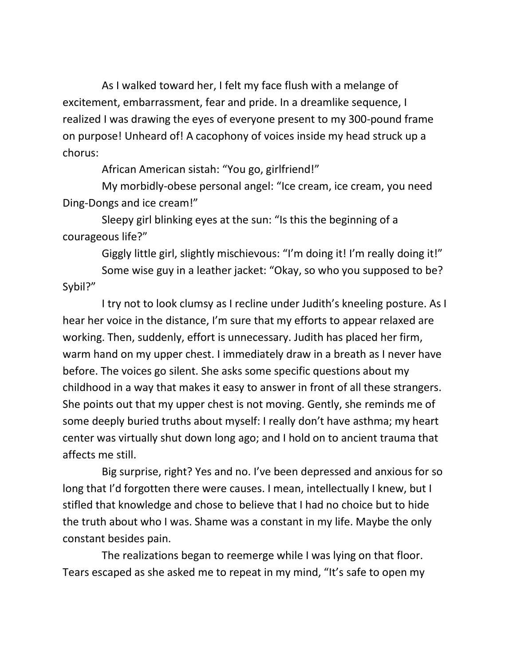As I walked toward her, I felt my face flush with a melange of excitement, embarrassment, fear and pride. In a dreamlike sequence, I realized I was drawing the eyes of everyone present to my 300-pound frame on purpose! Unheard of! A cacophony of voices inside my head struck up a chorus:

African American sistah: "You go, girlfriend!"

My morbidly-obese personal angel: "Ice cream, ice cream, you need Ding-Dongs and ice cream!"

Sleepy girl blinking eyes at the sun: "Is this the beginning of a courageous life?"

Giggly little girl, slightly mischievous: "I'm doing it! I'm really doing it!"

Some wise guy in a leather jacket: "Okay, so who you supposed to be? Sybil?"

I try not to look clumsy as I recline under Judith's kneeling posture. As I hear her voice in the distance, I'm sure that my efforts to appear relaxed are working. Then, suddenly, effort is unnecessary. Judith has placed her firm, warm hand on my upper chest. I immediately draw in a breath as I never have before. The voices go silent. She asks some specific questions about my childhood in a way that makes it easy to answer in front of all these strangers. She points out that my upper chest is not moving. Gently, she reminds me of some deeply buried truths about myself: I really don't have asthma; my heart center was virtually shut down long ago; and I hold on to ancient trauma that affects me still.

Big surprise, right? Yes and no. I've been depressed and anxious for so long that I'd forgotten there were causes. I mean, intellectually I knew, but I stifled that knowledge and chose to believe that I had no choice but to hide the truth about who I was. Shame was a constant in my life. Maybe the only constant besides pain.

The realizations began to reemerge while I was lying on that floor. Tears escaped as she asked me to repeat in my mind, "It's safe to open my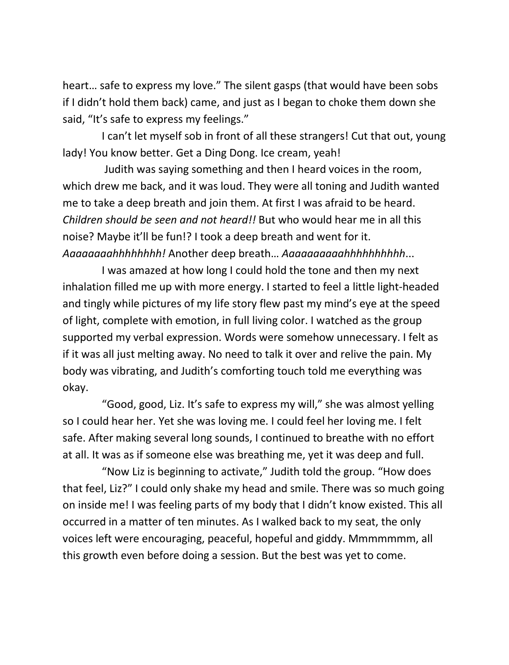heart… safe to express my love." The silent gasps (that would have been sobs if I didn't hold them back) came, and just as I began to choke them down she said, "It's safe to express my feelings."

I can't let myself sob in front of all these strangers! Cut that out, young lady! You know better. Get a Ding Dong. Ice cream, yeah!

Judith was saying something and then I heard voices in the room, which drew me back, and it was loud. They were all toning and Judith wanted me to take a deep breath and join them. At first I was afraid to be heard. *Children should be seen and not heard!!* But who would hear me in all this noise? Maybe it'll be fun!? I took a deep breath and went for it. *Aaaaaaaahhhhhhhh!* Another deep breath… *Aaaaaaaaaahhhhhhhhhh*...

I was amazed at how long I could hold the tone and then my next inhalation filled me up with more energy. I started to feel a little light-headed and tingly while pictures of my life story flew past my mind's eye at the speed of light, complete with emotion, in full living color. I watched as the group supported my verbal expression. Words were somehow unnecessary. I felt as if it was all just melting away. No need to talk it over and relive the pain. My body was vibrating, and Judith's comforting touch told me everything was okay.

"Good, good, Liz. It's safe to express my will," she was almost yelling so I could hear her. Yet she was loving me. I could feel her loving me. I felt safe. After making several long sounds, I continued to breathe with no effort at all. It was as if someone else was breathing me, yet it was deep and full.

"Now Liz is beginning to activate," Judith told the group. "How does that feel, Liz?" I could only shake my head and smile. There was so much going on inside me! I was feeling parts of my body that I didn't know existed. This all occurred in a matter of ten minutes. As I walked back to my seat, the only voices left were encouraging, peaceful, hopeful and giddy. Mmmmmmm, all this growth even before doing a session. But the best was yet to come.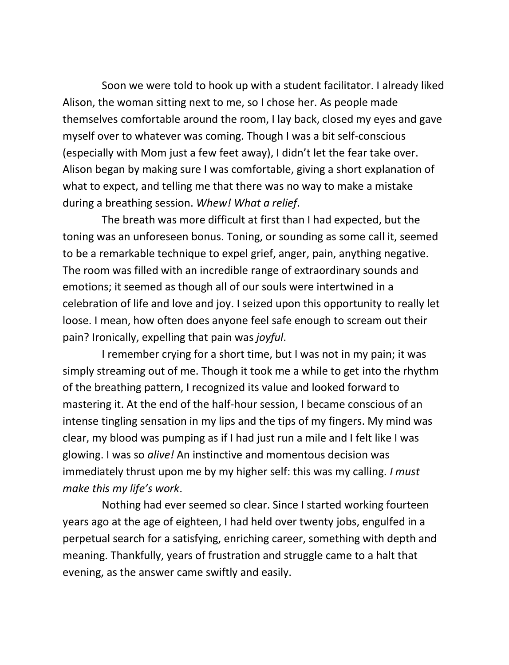Soon we were told to hook up with a student facilitator. I already liked Alison, the woman sitting next to me, so I chose her. As people made themselves comfortable around the room, I lay back, closed my eyes and gave myself over to whatever was coming. Though I was a bit self-conscious (especially with Mom just a few feet away), I didn't let the fear take over. Alison began by making sure I was comfortable, giving a short explanation of what to expect, and telling me that there was no way to make a mistake during a breathing session. *Whew! What a relief*.

The breath was more difficult at first than I had expected, but the toning was an unforeseen bonus. Toning, or sounding as some call it, seemed to be a remarkable technique to expel grief, anger, pain, anything negative. The room was filled with an incredible range of extraordinary sounds and emotions; it seemed as though all of our souls were intertwined in a celebration of life and love and joy. I seized upon this opportunity to really let loose. I mean, how often does anyone feel safe enough to scream out their pain? Ironically, expelling that pain was *joyful*.

I remember crying for a short time, but I was not in my pain; it was simply streaming out of me. Though it took me a while to get into the rhythm of the breathing pattern, I recognized its value and looked forward to mastering it. At the end of the half-hour session, I became conscious of an intense tingling sensation in my lips and the tips of my fingers. My mind was clear, my blood was pumping as if I had just run a mile and I felt like I was glowing. I was so *alive!* An instinctive and momentous decision was immediately thrust upon me by my higher self: this was my calling. *I must make this my life's work*.

Nothing had ever seemed so clear. Since I started working fourteen years ago at the age of eighteen, I had held over twenty jobs, engulfed in a perpetual search for a satisfying, enriching career, something with depth and meaning. Thankfully, years of frustration and struggle came to a halt that evening, as the answer came swiftly and easily.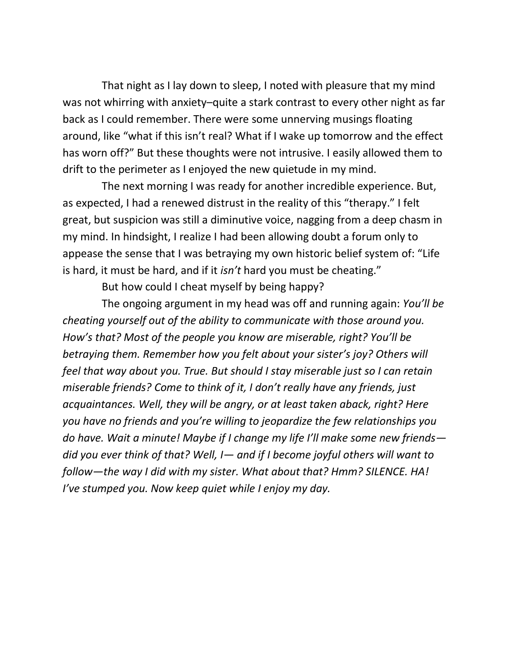That night as I lay down to sleep, I noted with pleasure that my mind was not whirring with anxiety–quite a stark contrast to every other night as far back as I could remember. There were some unnerving musings floating around, like "what if this isn't real? What if I wake up tomorrow and the effect has worn off?" But these thoughts were not intrusive. I easily allowed them to drift to the perimeter as I enjoyed the new quietude in my mind.

The next morning I was ready for another incredible experience. But, as expected, I had a renewed distrust in the reality of this "therapy." I felt great, but suspicion was still a diminutive voice, nagging from a deep chasm in my mind. In hindsight, I realize I had been allowing doubt a forum only to appease the sense that I was betraying my own historic belief system of: "Life is hard, it must be hard, and if it *isn't* hard you must be cheating."

But how could I cheat myself by being happy?

The ongoing argument in my head was off and running again: *You'll be cheating yourself out of the ability to communicate with those around you. How's that? Most of the people you know are miserable, right? You'll be betraying them. Remember how you felt about your sister's joy? Others will feel that way about you. True. But should I stay miserable just so I can retain miserable friends? Come to think of it, I don't really have any friends, just acquaintances. Well, they will be angry, or at least taken aback, right? Here you have no friends and you're willing to jeopardize the few relationships you do have. Wait a minute! Maybe if I change my life I'll make some new friends did you ever think of that? Well, I— and if I become joyful others will want to follow—the way I did with my sister. What about that? Hmm? SILENCE. HA! I've stumped you. Now keep quiet while I enjoy my day.*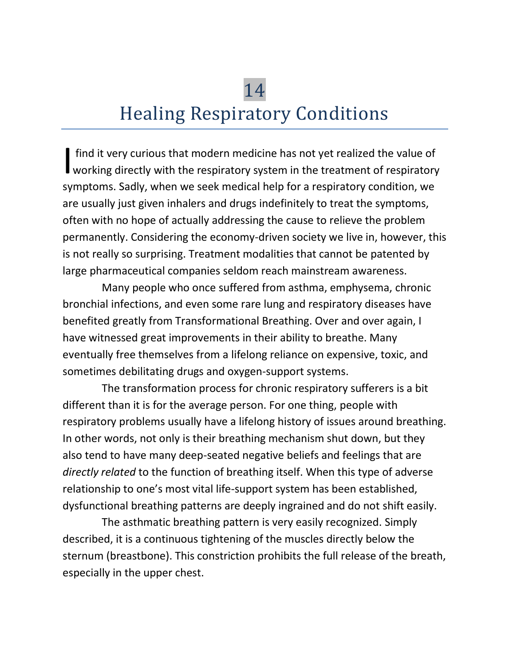# 14 Healing Respiratory Conditions

find it very curious that modern medicine has not yet realized the value of If ind it very curious that modern medicine has not yet realized the value of working directly with the respiratory system in the treatment of respiratory symptoms. Sadly, when we seek medical help for a respiratory condition, we are usually just given inhalers and drugs indefinitely to treat the symptoms, often with no hope of actually addressing the cause to relieve the problem permanently. Considering the economy-driven society we live in, however, this is not really so surprising. Treatment modalities that cannot be patented by large pharmaceutical companies seldom reach mainstream awareness.

Many people who once suffered from asthma, emphysema, chronic bronchial infections, and even some rare lung and respiratory diseases have benefited greatly from Transformational Breathing. Over and over again, I have witnessed great improvements in their ability to breathe. Many eventually free themselves from a lifelong reliance on expensive, toxic, and sometimes debilitating drugs and oxygen-support systems.

The transformation process for chronic respiratory sufferers is a bit different than it is for the average person. For one thing, people with respiratory problems usually have a lifelong history of issues around breathing. In other words, not only is their breathing mechanism shut down, but they also tend to have many deep-seated negative beliefs and feelings that are *directly related* to the function of breathing itself. When this type of adverse relationship to one's most vital life-support system has been established, dysfunctional breathing patterns are deeply ingrained and do not shift easily.

The asthmatic breathing pattern is very easily recognized. Simply described, it is a continuous tightening of the muscles directly below the sternum (breastbone). This constriction prohibits the full release of the breath, especially in the upper chest.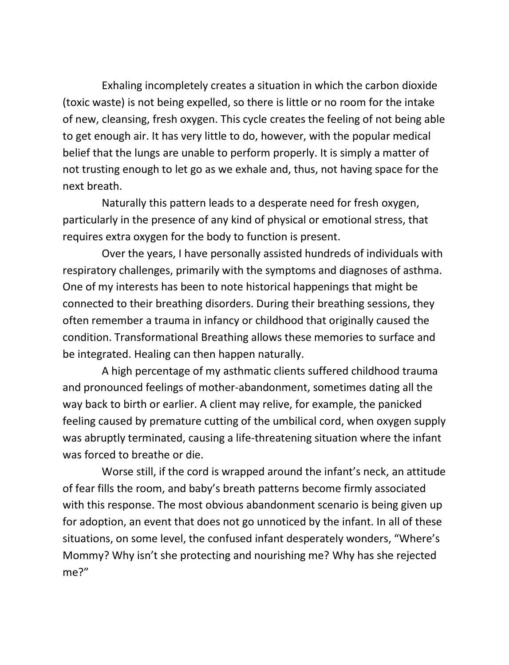Exhaling incompletely creates a situation in which the carbon dioxide (toxic waste) is not being expelled, so there is little or no room for the intake of new, cleansing, fresh oxygen. This cycle creates the feeling of not being able to get enough air. It has very little to do, however, with the popular medical belief that the lungs are unable to perform properly. It is simply a matter of not trusting enough to let go as we exhale and, thus, not having space for the next breath.

Naturally this pattern leads to a desperate need for fresh oxygen, particularly in the presence of any kind of physical or emotional stress, that requires extra oxygen for the body to function is present.

Over the years, I have personally assisted hundreds of individuals with respiratory challenges, primarily with the symptoms and diagnoses of asthma. One of my interests has been to note historical happenings that might be connected to their breathing disorders. During their breathing sessions, they often remember a trauma in infancy or childhood that originally caused the condition. Transformational Breathing allows these memories to surface and be integrated. Healing can then happen naturally.

A high percentage of my asthmatic clients suffered childhood trauma and pronounced feelings of mother-abandonment, sometimes dating all the way back to birth or earlier. A client may relive, for example, the panicked feeling caused by premature cutting of the umbilical cord, when oxygen supply was abruptly terminated, causing a life-threatening situation where the infant was forced to breathe or die.

Worse still, if the cord is wrapped around the infant's neck, an attitude of fear fills the room, and baby's breath patterns become firmly associated with this response. The most obvious abandonment scenario is being given up for adoption, an event that does not go unnoticed by the infant. In all of these situations, on some level, the confused infant desperately wonders, "Where's Mommy? Why isn't she protecting and nourishing me? Why has she rejected me?"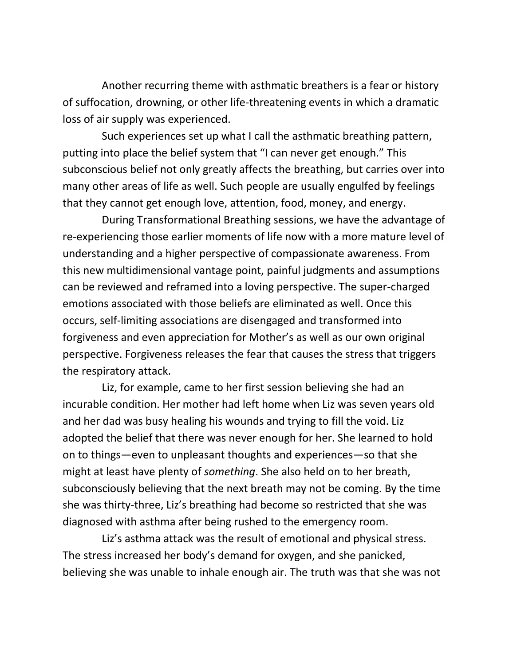Another recurring theme with asthmatic breathers is a fear or history of suffocation, drowning, or other life-threatening events in which a dramatic loss of air supply was experienced.

Such experiences set up what I call the asthmatic breathing pattern, putting into place the belief system that "I can never get enough." This subconscious belief not only greatly affects the breathing, but carries over into many other areas of life as well. Such people are usually engulfed by feelings that they cannot get enough love, attention, food, money, and energy.

During Transformational Breathing sessions, we have the advantage of re-experiencing those earlier moments of life now with a more mature level of understanding and a higher perspective of compassionate awareness. From this new multidimensional vantage point, painful judgments and assumptions can be reviewed and reframed into a loving perspective. The super-charged emotions associated with those beliefs are eliminated as well. Once this occurs, self-limiting associations are disengaged and transformed into forgiveness and even appreciation for Mother's as well as our own original perspective. Forgiveness releases the fear that causes the stress that triggers the respiratory attack.

Liz, for example, came to her first session believing she had an incurable condition. Her mother had left home when Liz was seven years old and her dad was busy healing his wounds and trying to fill the void. Liz adopted the belief that there was never enough for her. She learned to hold on to things—even to unpleasant thoughts and experiences—so that she might at least have plenty of *something*. She also held on to her breath, subconsciously believing that the next breath may not be coming. By the time she was thirty-three, Liz's breathing had become so restricted that she was diagnosed with asthma after being rushed to the emergency room.

Liz's asthma attack was the result of emotional and physical stress. The stress increased her body's demand for oxygen, and she panicked, believing she was unable to inhale enough air. The truth was that she was not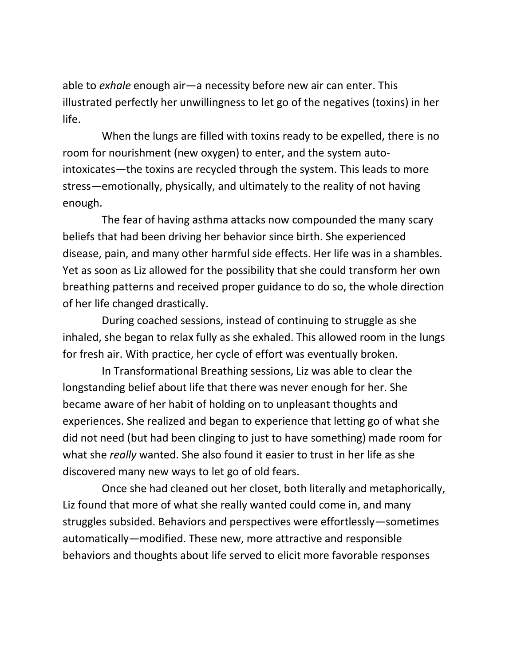able to *exhale* enough air—a necessity before new air can enter. This illustrated perfectly her unwillingness to let go of the negatives (toxins) in her life.

When the lungs are filled with toxins ready to be expelled, there is no room for nourishment (new oxygen) to enter, and the system autointoxicates—the toxins are recycled through the system. This leads to more stress—emotionally, physically, and ultimately to the reality of not having enough.

The fear of having asthma attacks now compounded the many scary beliefs that had been driving her behavior since birth. She experienced disease, pain, and many other harmful side effects. Her life was in a shambles. Yet as soon as Liz allowed for the possibility that she could transform her own breathing patterns and received proper guidance to do so, the whole direction of her life changed drastically.

During coached sessions, instead of continuing to struggle as she inhaled, she began to relax fully as she exhaled. This allowed room in the lungs for fresh air. With practice, her cycle of effort was eventually broken.

In Transformational Breathing sessions, Liz was able to clear the longstanding belief about life that there was never enough for her. She became aware of her habit of holding on to unpleasant thoughts and experiences. She realized and began to experience that letting go of what she did not need (but had been clinging to just to have something) made room for what she *really* wanted. She also found it easier to trust in her life as she discovered many new ways to let go of old fears.

Once she had cleaned out her closet, both literally and metaphorically, Liz found that more of what she really wanted could come in, and many struggles subsided. Behaviors and perspectives were effortlessly—sometimes automatically—modified. These new, more attractive and responsible behaviors and thoughts about life served to elicit more favorable responses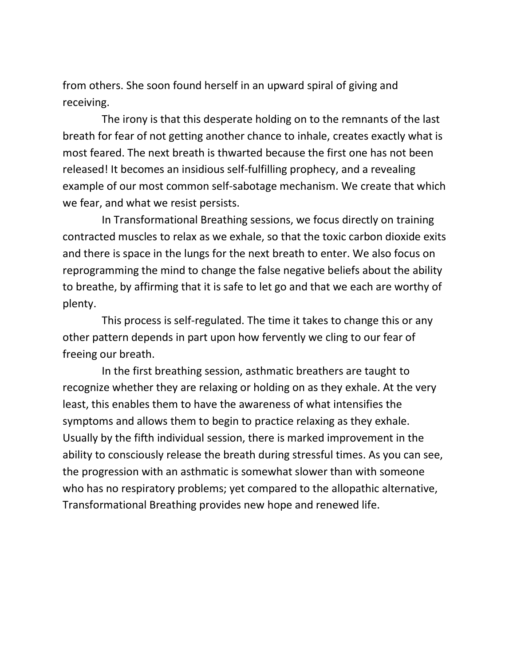from others. She soon found herself in an upward spiral of giving and receiving.

The irony is that this desperate holding on to the remnants of the last breath for fear of not getting another chance to inhale, creates exactly what is most feared. The next breath is thwarted because the first one has not been released! It becomes an insidious self-fulfilling prophecy, and a revealing example of our most common self-sabotage mechanism. We create that which we fear, and what we resist persists.

In Transformational Breathing sessions, we focus directly on training contracted muscles to relax as we exhale, so that the toxic carbon dioxide exits and there is space in the lungs for the next breath to enter. We also focus on reprogramming the mind to change the false negative beliefs about the ability to breathe, by affirming that it is safe to let go and that we each are worthy of plenty.

This process is self-regulated. The time it takes to change this or any other pattern depends in part upon how fervently we cling to our fear of freeing our breath.

In the first breathing session, asthmatic breathers are taught to recognize whether they are relaxing or holding on as they exhale. At the very least, this enables them to have the awareness of what intensifies the symptoms and allows them to begin to practice relaxing as they exhale. Usually by the fifth individual session, there is marked improvement in the ability to consciously release the breath during stressful times. As you can see, the progression with an asthmatic is somewhat slower than with someone who has no respiratory problems; yet compared to the allopathic alternative, Transformational Breathing provides new hope and renewed life.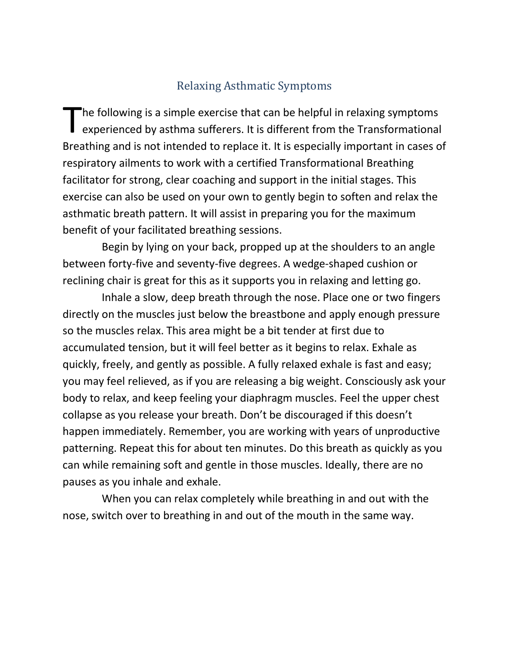#### Relaxing Asthmatic Symptoms

 $\blacksquare$  he following is a simple exercise that can be helpful in relaxing symptoms The following is a simple exercise that can be helpful in relaxing symptoms<br>experienced by asthma sufferers. It is different from the Transformational Breathing and is not intended to replace it. It is especially important in cases of respiratory ailments to work with a certified Transformational Breathing facilitator for strong, clear coaching and support in the initial stages. This exercise can also be used on your own to gently begin to soften and relax the asthmatic breath pattern. It will assist in preparing you for the maximum benefit of your facilitated breathing sessions.

Begin by lying on your back, propped up at the shoulders to an angle between forty-five and seventy-five degrees. A wedge-shaped cushion or reclining chair is great for this as it supports you in relaxing and letting go.

Inhale a slow, deep breath through the nose. Place one or two fingers directly on the muscles just below the breastbone and apply enough pressure so the muscles relax. This area might be a bit tender at first due to accumulated tension, but it will feel better as it begins to relax. Exhale as quickly, freely, and gently as possible. A fully relaxed exhale is fast and easy; you may feel relieved, as if you are releasing a big weight. Consciously ask your body to relax, and keep feeling your diaphragm muscles. Feel the upper chest collapse as you release your breath. Don't be discouraged if this doesn't happen immediately. Remember, you are working with years of unproductive patterning. Repeat this for about ten minutes. Do this breath as quickly as you can while remaining soft and gentle in those muscles. Ideally, there are no pauses as you inhale and exhale.

When you can relax completely while breathing in and out with the nose, switch over to breathing in and out of the mouth in the same way.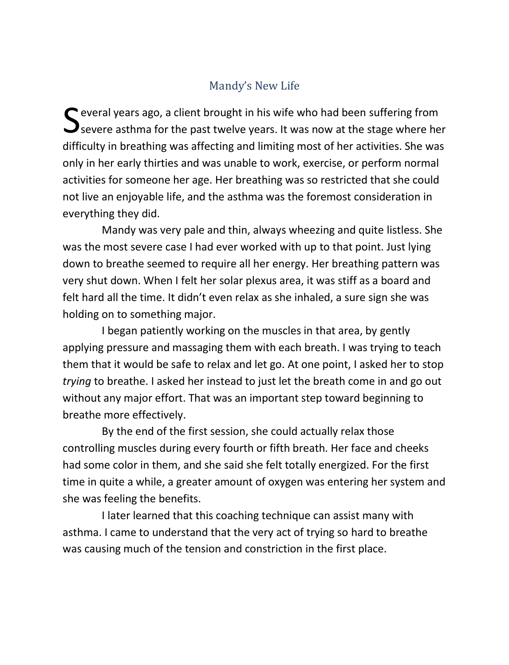# Mandy's New Life

Several years ago, a client brought in his wife who had been suffering from<br>Severe asthma for the past twelve years. It was now at the stage where he Severe asthma for the past twelve years. It was now at the stage where her difficulty in breathing was affecting and limiting most of her activities. She was only in her early thirties and was unable to work, exercise, or perform normal activities for someone her age. Her breathing was so restricted that she could not live an enjoyable life, and the asthma was the foremost consideration in everything they did.

Mandy was very pale and thin, always wheezing and quite listless. She was the most severe case I had ever worked with up to that point. Just lying down to breathe seemed to require all her energy. Her breathing pattern was very shut down. When I felt her solar plexus area, it was stiff as a board and felt hard all the time. It didn't even relax as she inhaled, a sure sign she was holding on to something major.

I began patiently working on the muscles in that area, by gently applying pressure and massaging them with each breath. I was trying to teach them that it would be safe to relax and let go. At one point, I asked her to stop *trying* to breathe. I asked her instead to just let the breath come in and go out without any major effort. That was an important step toward beginning to breathe more effectively.

By the end of the first session, she could actually relax those controlling muscles during every fourth or fifth breath. Her face and cheeks had some color in them, and she said she felt totally energized. For the first time in quite a while, a greater amount of oxygen was entering her system and she was feeling the benefits.

I later learned that this coaching technique can assist many with asthma. I came to understand that the very act of trying so hard to breathe was causing much of the tension and constriction in the first place.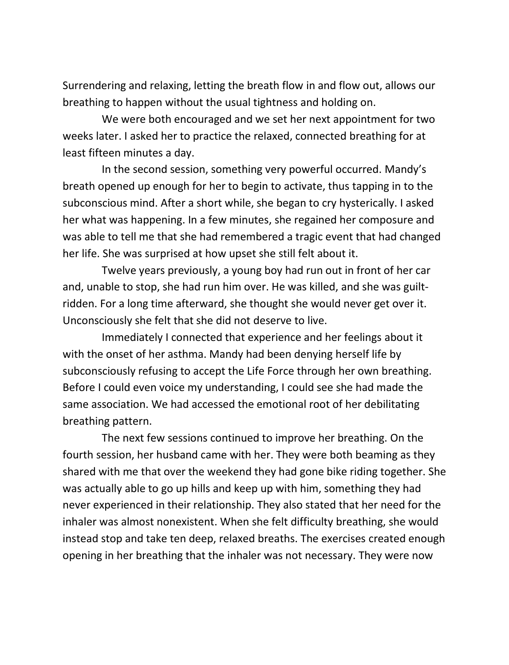Surrendering and relaxing, letting the breath flow in and flow out, allows our breathing to happen without the usual tightness and holding on.

We were both encouraged and we set her next appointment for two weeks later. I asked her to practice the relaxed, connected breathing for at least fifteen minutes a day.

In the second session, something very powerful occurred. Mandy's breath opened up enough for her to begin to activate, thus tapping in to the subconscious mind. After a short while, she began to cry hysterically. I asked her what was happening. In a few minutes, she regained her composure and was able to tell me that she had remembered a tragic event that had changed her life. She was surprised at how upset she still felt about it.

Twelve years previously, a young boy had run out in front of her car and, unable to stop, she had run him over. He was killed, and she was guiltridden. For a long time afterward, she thought she would never get over it. Unconsciously she felt that she did not deserve to live.

Immediately I connected that experience and her feelings about it with the onset of her asthma. Mandy had been denying herself life by subconsciously refusing to accept the Life Force through her own breathing. Before I could even voice my understanding, I could see she had made the same association. We had accessed the emotional root of her debilitating breathing pattern.

The next few sessions continued to improve her breathing. On the fourth session, her husband came with her. They were both beaming as they shared with me that over the weekend they had gone bike riding together. She was actually able to go up hills and keep up with him, something they had never experienced in their relationship. They also stated that her need for the inhaler was almost nonexistent. When she felt difficulty breathing, she would instead stop and take ten deep, relaxed breaths. The exercises created enough opening in her breathing that the inhaler was not necessary. They were now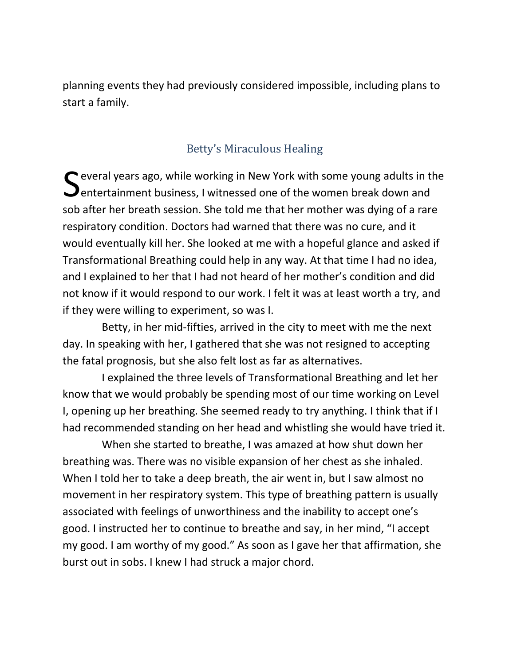planning events they had previously considered impossible, including plans to start a family.

### Betty's Miraculous Healing

Several years ago, while working in New York with some young adults in the<br>Sentertainment business, I witnessed one of the women break down and **O** entertainment business, I witnessed one of the women break down and sob after her breath session. She told me that her mother was dying of a rare respiratory condition. Doctors had warned that there was no cure, and it would eventually kill her. She looked at me with a hopeful glance and asked if Transformational Breathing could help in any way. At that time I had no idea, and I explained to her that I had not heard of her mother's condition and did not know if it would respond to our work. I felt it was at least worth a try, and if they were willing to experiment, so was I.

Betty, in her mid-fifties, arrived in the city to meet with me the next day. In speaking with her, I gathered that she was not resigned to accepting the fatal prognosis, but she also felt lost as far as alternatives.

I explained the three levels of Transformational Breathing and let her know that we would probably be spending most of our time working on Level I, opening up her breathing. She seemed ready to try anything. I think that if I had recommended standing on her head and whistling she would have tried it.

When she started to breathe, I was amazed at how shut down her breathing was. There was no visible expansion of her chest as she inhaled. When I told her to take a deep breath, the air went in, but I saw almost no movement in her respiratory system. This type of breathing pattern is usually associated with feelings of unworthiness and the inability to accept one's good. I instructed her to continue to breathe and say, in her mind, "I accept my good. I am worthy of my good." As soon as I gave her that affirmation, she burst out in sobs. I knew I had struck a major chord.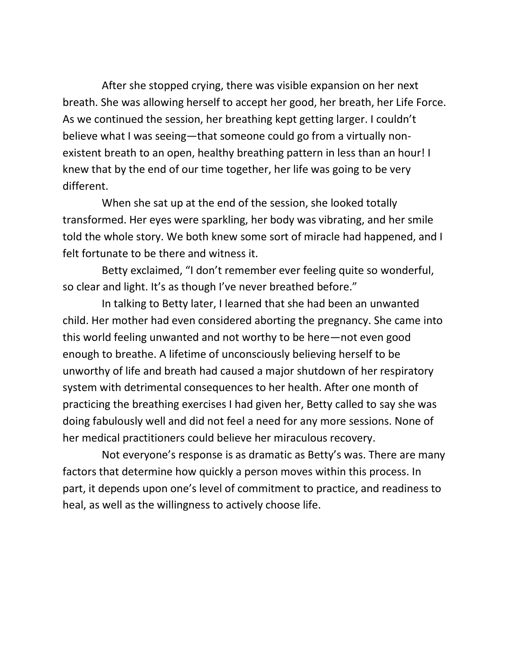After she stopped crying, there was visible expansion on her next breath. She was allowing herself to accept her good, her breath, her Life Force. As we continued the session, her breathing kept getting larger. I couldn't believe what I was seeing—that someone could go from a virtually nonexistent breath to an open, healthy breathing pattern in less than an hour! I knew that by the end of our time together, her life was going to be very different.

When she sat up at the end of the session, she looked totally transformed. Her eyes were sparkling, her body was vibrating, and her smile told the whole story. We both knew some sort of miracle had happened, and I felt fortunate to be there and witness it.

Betty exclaimed, "I don't remember ever feeling quite so wonderful, so clear and light. It's as though I've never breathed before."

In talking to Betty later, I learned that she had been an unwanted child. Her mother had even considered aborting the pregnancy. She came into this world feeling unwanted and not worthy to be here—not even good enough to breathe. A lifetime of unconsciously believing herself to be unworthy of life and breath had caused a major shutdown of her respiratory system with detrimental consequences to her health. After one month of practicing the breathing exercises I had given her, Betty called to say she was doing fabulously well and did not feel a need for any more sessions. None of her medical practitioners could believe her miraculous recovery.

Not everyone's response is as dramatic as Betty's was. There are many factors that determine how quickly a person moves within this process. In part, it depends upon one's level of commitment to practice, and readiness to heal, as well as the willingness to actively choose life.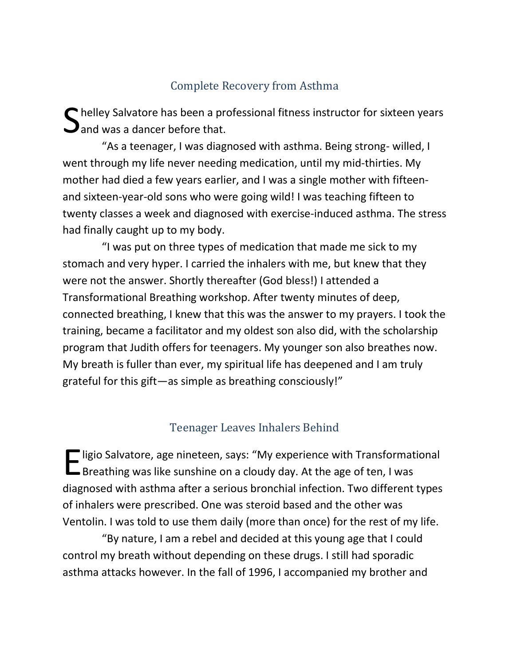## Complete Recovery from Asthma

helley Salvatore has been a professional fitness instructor for sixteen years S helley Salvatore has been a pr<br>
and was a dancer before that.

"As a teenager, I was diagnosed with asthma. Being strong- willed, I went through my life never needing medication, until my mid-thirties. My mother had died a few years earlier, and I was a single mother with fifteenand sixteen-year-old sons who were going wild! I was teaching fifteen to twenty classes a week and diagnosed with exercise-induced asthma. The stress had finally caught up to my body.

"I was put on three types of medication that made me sick to my stomach and very hyper. I carried the inhalers with me, but knew that they were not the answer. Shortly thereafter (God bless!) I attended a Transformational Breathing workshop. After twenty minutes of deep, connected breathing, I knew that this was the answer to my prayers. I took the training, became a facilitator and my oldest son also did, with the scholarship program that Judith offers for teenagers. My younger son also breathes now. My breath is fuller than ever, my spiritual life has deepened and I am truly grateful for this gift—as simple as breathing consciously!"

#### Teenager Leaves Inhalers Behind

**T** ligio Salvatore, age nineteen, says: "My experience with Transformational E ligio Salvatore, age nineteen, says: "My experience with Transformat<br>Breathing was like sunshine on a cloudy day. At the age of ten, I was diagnosed with asthma after a serious bronchial infection. Two different types of inhalers were prescribed. One was steroid based and the other was Ventolin. I was told to use them daily (more than once) for the rest of my life.

"By nature, I am a rebel and decided at this young age that I could control my breath without depending on these drugs. I still had sporadic asthma attacks however. In the fall of 1996, I accompanied my brother and